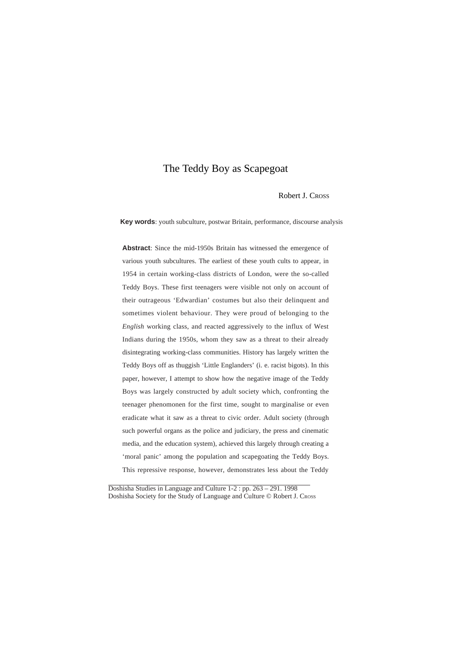#### Robert J. CROSS

**Key words**: youth subculture, postwar Britain, performance, discourse analysis

**Abstract**: Since the mid-1950s Britain has witnessed the emergence of various youth subcultures. The earliest of these youth cults to appear, in 1954 in certain working-class districts of London, were the so-called Teddy Boys. These first teenagers were visible not only on account of their outrageous 'Edwardian' costumes but also their delinquent and sometimes violent behaviour. They were proud of belonging to the *English* working class, and reacted aggressively to the influx of West Indians during the 1950s, whom they saw as a threat to their already disintegrating working-class communities. History has largely written the Teddy Boys off as thuggish 'Little Englanders' (i. e. racist bigots). In this paper, however, I attempt to show how the negative image of the Teddy Boys was largely constructed by adult society which, confronting the teenager phenomonen for the first time, sought to marginalise or even eradicate what it saw as a threat to civic order. Adult society (through such powerful organs as the police and judiciary, the press and cinematic media, and the education system), achieved this largely through creating a 'moral panic' among the population and scapegoating the Teddy Boys. This repressive response, however, demonstrates less about the Teddy

Doshisha Studies in Language and Culture 1-2 : pp. 263 – 291. 1998 Doshisha Society for the Study of Language and Culture © Robert J. Cross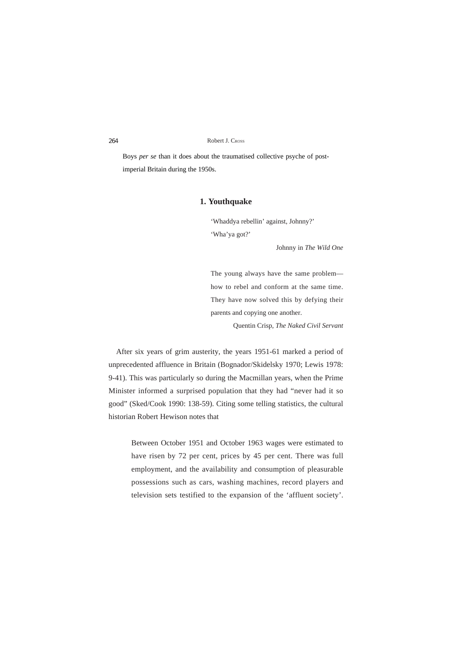Boys *per se* than it does about the traumatised collective psyche of postimperial Britain during the 1950s.

# **1. Youthquake**

'Whaddya rebellin' against, Johnny?' 'Wha'ya got?'

Johnny in *The Wild One*

The young always have the same problem how to rebel and conform at the same time. They have now solved this by defying their parents and copying one another.

Quentin Crisp, *The Naked Civil Servant*

After six years of grim austerity, the years 1951-61 marked a period of unprecedented affluence in Britain (Bognador/Skidelsky 1970; Lewis 1978: 9-41). This was particularly so during the Macmillan years, when the Prime Minister informed a surprised population that they had "never had it so good" (Sked/Cook 1990: 138-59). Citing some telling statistics, the cultural historian Robert Hewison notes that

Between October 1951 and October 1963 wages were estimated to have risen by 72 per cent, prices by 45 per cent. There was full employment, and the availability and consumption of pleasurable possessions such as cars, washing machines, record players and television sets testified to the expansion of the 'affluent society'.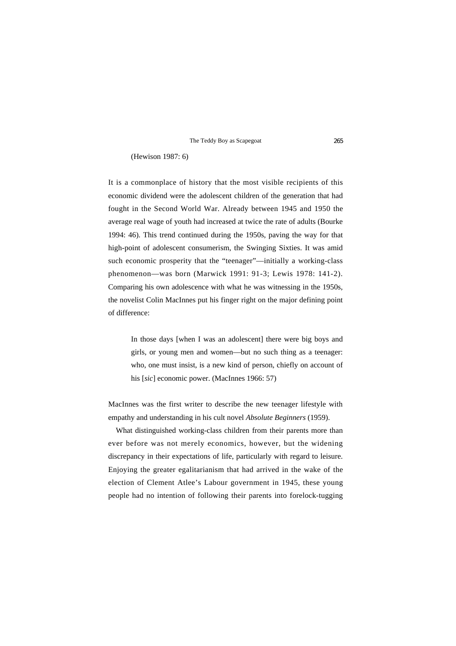#### (Hewison 1987: 6)

It is a commonplace of history that the most visible recipients of this economic dividend were the adolescent children of the generation that had fought in the Second World War. Already between 1945 and 1950 the average real wage of youth had increased at twice the rate of adults (Bourke 1994: 46). This trend continued during the 1950s, paving the way for that high-point of adolescent consumerism, the Swinging Sixties. It was amid such economic prosperity that the "teenager"—initially a working-class phenomenon—was born (Marwick 1991: 91-3; Lewis 1978: 141-2). Comparing his own adolescence with what he was witnessing in the 1950s, the novelist Colin MacInnes put his finger right on the major defining point of difference:

In those days [when I was an adolescent] there were big boys and girls, or young men and women—but no such thing as a teenager: who, one must insist, is a new kind of person, chiefly on account of his [*sic*] economic power. (MacInnes 1966: 57)

MacInnes was the first writer to describe the new teenager lifestyle with empathy and understanding in his cult novel *Absolute Beginners* (1959).

What distinguished working-class children from their parents more than ever before was not merely economics, however, but the widening discrepancy in their expectations of life, particularly with regard to leisure. Enjoying the greater egalitarianism that had arrived in the wake of the election of Clement Atlee's Labour government in 1945, these young people had no intention of following their parents into forelock-tugging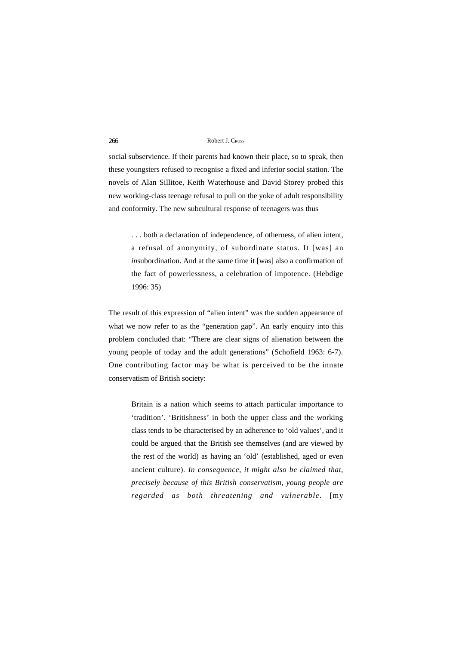social subservience. If their parents had known their place, so to speak, then these youngsters refused to recognise a fixed and inferior social station. The novels of Alan Sillitoe, Keith Waterhouse and David Storey probed this new working-class teenage refusal to pull on the yoke of adult responsibility and conformity. The new subcultural response of teenagers was thus

. . . both a declaration of independence, of otherness, of alien intent, a refusal of anonymity, of subordinate status. It [was] an *in*subordination. And at the same time it [was] also a confirmation of the fact of powerlessness, a celebration of impotence. (Hebdige 1996: 35)

The result of this expression of "alien intent" was the sudden appearance of what we now refer to as the "generation gap". An early enquiry into this problem concluded that: "There are clear signs of alienation between the young people of today and the adult generations" (Schofield 1963: 6-7). One contributing factor may be what is perceived to be the innate conservatism of British society:

Britain is a nation which seems to attach particular importance to 'tradition'. 'Britishness' in both the upper class and the working class tends to be characterised by an adherence to 'old values', and it could be argued that the British see themselves (and are viewed by the rest of the world) as having an 'old' (established, aged or even ancient culture). *In consequence, it might also be claimed that, precisely because of this British conservatism, young people are regarded as both threatening and vulnerable*. [my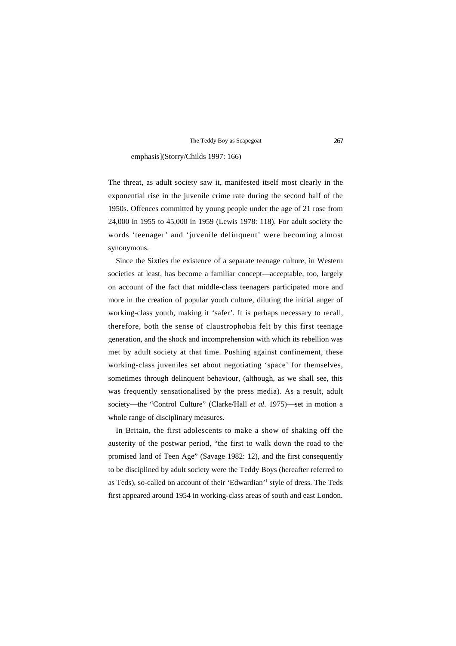### emphasis](Storry/Childs 1997: 166)

The threat, as adult society saw it, manifested itself most clearly in the exponential rise in the juvenile crime rate during the second half of the 1950s. Offences committed by young people under the age of 21 rose from 24,000 in 1955 to 45,000 in 1959 (Lewis 1978: 118). For adult society the words 'teenager' and 'juvenile delinquent' were becoming almost synonymous.

Since the Sixties the existence of a separate teenage culture, in Western societies at least, has become a familiar concept—acceptable, too, largely on account of the fact that middle-class teenagers participated more and more in the creation of popular youth culture, diluting the initial anger of working-class youth, making it 'safer'. It is perhaps necessary to recall, therefore, both the sense of claustrophobia felt by this first teenage generation, and the shock and incomprehension with which its rebellion was met by adult society at that time. Pushing against confinement, these working-class juveniles set about negotiating 'space' for themselves, sometimes through delinquent behaviour, (although, as we shall see, this was frequently sensationalised by the press media). As a result, adult society—the "Control Culture" (Clarke/Hall *et al*. 1975)—set in motion a whole range of disciplinary measures.

In Britain, the first adolescents to make a show of shaking off the austerity of the postwar period, "the first to walk down the road to the promised land of Teen Age" (Savage 1982: 12), and the first consequently to be disciplined by adult society were the Teddy Boys (hereafter referred to as Teds), so-called on account of their 'Edwardian'1 style of dress. The Teds first appeared around 1954 in working-class areas of south and east London.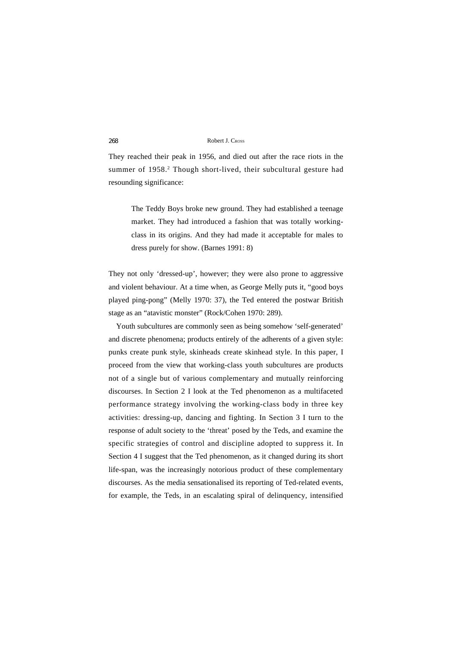They reached their peak in 1956, and died out after the race riots in the summer of 1958.<sup>2</sup> Though short-lived, their subcultural gesture had resounding significance:

The Teddy Boys broke new ground. They had established a teenage market. They had introduced a fashion that was totally workingclass in its origins. And they had made it acceptable for males to dress purely for show. (Barnes 1991: 8)

They not only 'dressed-up', however; they were also prone to aggressive and violent behaviour. At a time when, as George Melly puts it, "good boys played ping-pong" (Melly 1970: 37), the Ted entered the postwar British stage as an "atavistic monster" (Rock/Cohen 1970: 289).

Youth subcultures are commonly seen as being somehow 'self-generated' and discrete phenomena; products entirely of the adherents of a given style: punks create punk style, skinheads create skinhead style. In this paper, I proceed from the view that working-class youth subcultures are products not of a single but of various complementary and mutually reinforcing discourses. In Section 2 I look at the Ted phenomenon as a multifaceted performance strategy involving the working-class body in three key activities: dressing-up, dancing and fighting. In Section 3 I turn to the response of adult society to the 'threat' posed by the Teds, and examine the specific strategies of control and discipline adopted to suppress it. In Section 4 I suggest that the Ted phenomenon, as it changed during its short life-span, was the increasingly notorious product of these complementary discourses. As the media sensationalised its reporting of Ted-related events, for example, the Teds, in an escalating spiral of delinquency, intensified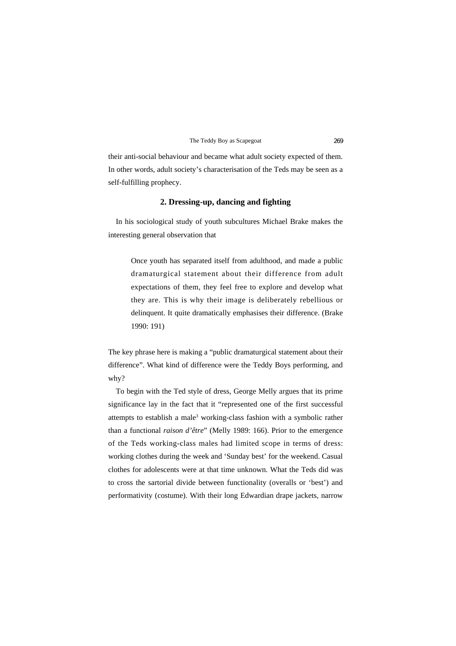their anti-social behaviour and became what adult society expected of them. In other words, adult society's characterisation of the Teds may be seen as a self-fulfilling prophecy.

# **2. Dressing-up, dancing and fighting**

In his sociological study of youth subcultures Michael Brake makes the interesting general observation that

Once youth has separated itself from adulthood, and made a public dramaturgical statement about their difference from adult expectations of them, they feel free to explore and develop what they are. This is why their image is deliberately rebellious or delinquent. It quite dramatically emphasises their difference. (Brake 1990: 191)

The key phrase here is making a "public dramaturgical statement about their difference". What kind of difference were the Teddy Boys performing, and why?

To begin with the Ted style of dress, George Melly argues that its prime significance lay in the fact that it "represented one of the first successful attempts to establish a male<sup>3</sup> working-class fashion with a symbolic rather than a functional *raison d'être*" (Melly 1989: 166). Prior to the emergence of the Teds working-class males had limited scope in terms of dress: working clothes during the week and 'Sunday best' for the weekend. Casual clothes for adolescents were at that time unknown. What the Teds did was to cross the sartorial divide between functionality (overalls or 'best') and performativity (costume). With their long Edwardian drape jackets, narrow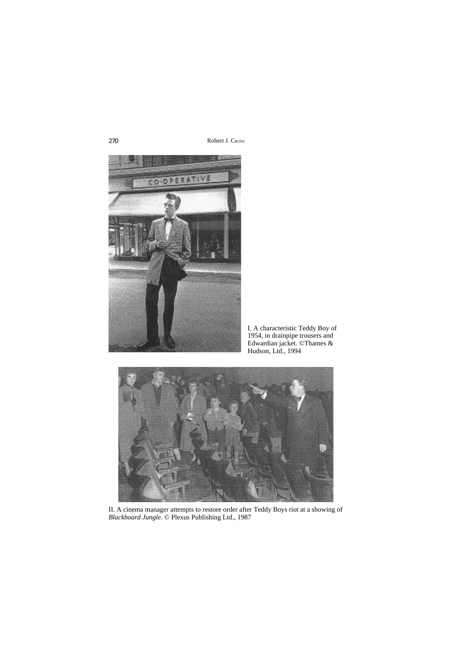

I. A characteristic Teddy Boy of 1954, in drainpipe trousers and Edwardian jacket. ©Thames & Hudson, Ltd., 1994



II. A cinema manager attempts to restore order after Teddy Boys riot at a showing of *Blackboard Jungle*. © Plexus Publishing Ltd., 1987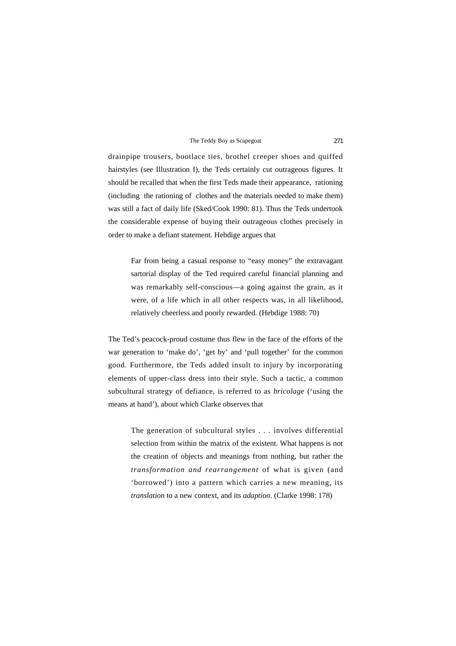drainpipe trousers, bootlace ties, brothel creeper shoes and quiffed hairstyles (see Illustration I), the Teds certainly cut outrageous figures. It should be recalled that when the first Teds made their appearance, rationing (including the rationing of clothes and the materials needed to make them) was still a fact of daily life (Sked/Cook 1990: 81). Thus the Teds undertook the considerable expense of buying their outrageous clothes precisely in order to make a defiant statement. Hebdige argues that

Far from being a casual response to "easy money" the extravagant sartorial display of the Ted required careful financial planning and was remarkably self-conscious—a going against the grain, as it were, of a life which in all other respects was, in all likelihood, relatively cheerless and poorly rewarded. (Hebdige 1988: 70)

The Ted's peacock-proud costume thus flew in the face of the efforts of the war generation to 'make do', 'get by' and 'pull together' for the common good. Furthermore, the Teds added insult to injury by incorporating elements of upper-class dress into their style. Such a tactic, a common subcultural strategy of defiance, is referred to as *bricolage* ('using the means at hand'), about which Clarke observes that

The generation of subcultural styles . . . involves differential selection from within the matrix of the existent. What happens is not the creation of objects and meanings from nothing, but rather the *transformation and rearrangement* of what is given (and 'borrowed') into a pattern which carries a new meaning, its *translation* to a new context, and its *adaption*. (Clarke 1998: 178)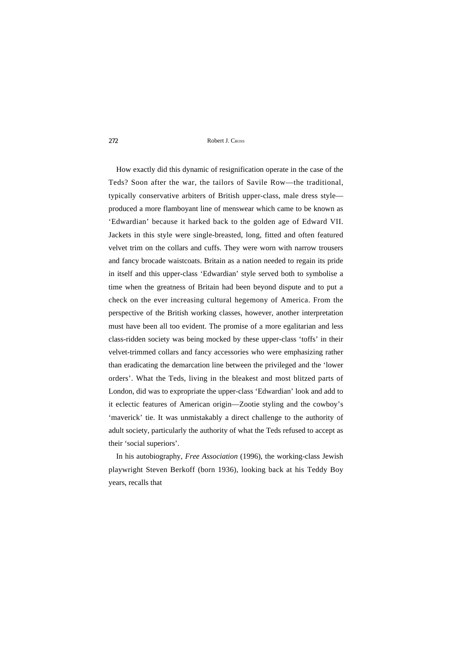How exactly did this dynamic of resignification operate in the case of the Teds? Soon after the war, the tailors of Savile Row—the traditional, typically conservative arbiters of British upper-class, male dress style produced a more flamboyant line of menswear which came to be known as 'Edwardian' because it harked back to the golden age of Edward VII. Jackets in this style were single-breasted, long, fitted and often featured velvet trim on the collars and cuffs. They were worn with narrow trousers and fancy brocade waistcoats. Britain as a nation needed to regain its pride in itself and this upper-class 'Edwardian' style served both to symbolise a time when the greatness of Britain had been beyond dispute and to put a check on the ever increasing cultural hegemony of America. From the perspective of the British working classes, however, another interpretation must have been all too evident. The promise of a more egalitarian and less class-ridden society was being mocked by these upper-class 'toffs' in their velvet-trimmed collars and fancy accessories who were emphasizing rather than eradicating the demarcation line between the privileged and the 'lower orders'. What the Teds, living in the bleakest and most blitzed parts of London, did was to expropriate the upper-class 'Edwardian' look and add to it eclectic features of American origin—Zootie styling and the cowboy's 'maverick' tie. It was unmistakably a direct challenge to the authority of adult society, particularly the authority of what the Teds refused to accept as their 'social superiors'.

In his autobiography, *Free Association* (1996), the working-class Jewish playwright Steven Berkoff (born 1936), looking back at his Teddy Boy years, recalls that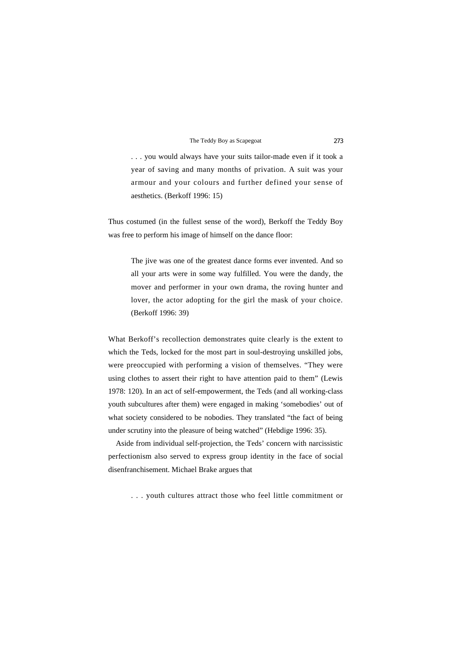. . . you would always have your suits tailor-made even if it took a year of saving and many months of privation. A suit was your armour and your colours and further defined your sense of aesthetics. (Berkoff 1996: 15)

Thus costumed (in the fullest sense of the word), Berkoff the Teddy Boy was free to perform his image of himself on the dance floor:

The jive was one of the greatest dance forms ever invented. And so all your arts were in some way fulfilled. You were the dandy, the mover and performer in your own drama, the roving hunter and lover, the actor adopting for the girl the mask of your choice. (Berkoff 1996: 39)

What Berkoff's recollection demonstrates quite clearly is the extent to which the Teds, locked for the most part in soul-destroying unskilled jobs, were preoccupied with performing a vision of themselves. "They were using clothes to assert their right to have attention paid to them" (Lewis 1978: 120). In an act of self-empowerment, the Teds (and all working-class youth subcultures after them) were engaged in making 'somebodies' out of what society considered to be nobodies. They translated "the fact of being under scrutiny into the pleasure of being watched" (Hebdige 1996: 35).

Aside from individual self-projection, the Teds' concern with narcissistic perfectionism also served to express group identity in the face of social disenfranchisement. Michael Brake argues that

. . . youth cultures attract those who feel little commitment or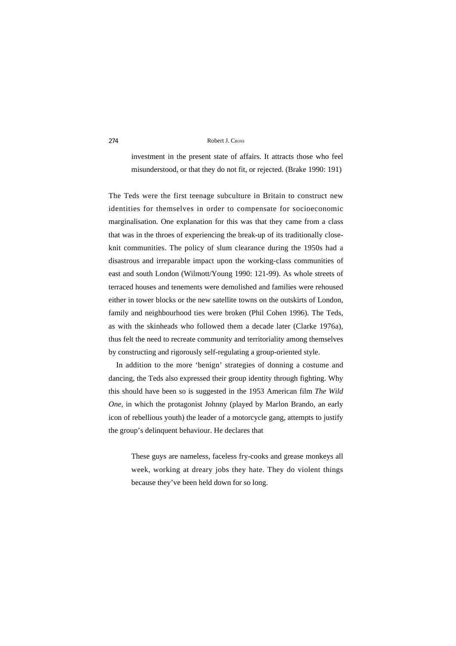investment in the present state of affairs. It attracts those who feel misunderstood, or that they do not fit, or rejected. (Brake 1990: 191)

The Teds were the first teenage subculture in Britain to construct new identities for themselves in order to compensate for socioeconomic marginalisation. One explanation for this was that they came from a class that was in the throes of experiencing the break-up of its traditionally closeknit communities. The policy of slum clearance during the 1950s had a disastrous and irreparable impact upon the working-class communities of east and south London (Wilmott/Young 1990: 121-99). As whole streets of terraced houses and tenements were demolished and families were rehoused either in tower blocks or the new satellite towns on the outskirts of London, family and neighbourhood ties were broken (Phil Cohen 1996). The Teds, as with the skinheads who followed them a decade later (Clarke 1976a), thus felt the need to recreate community and territoriality among themselves by constructing and rigorously self-regulating a group-oriented style.

In addition to the more 'benign' strategies of donning a costume and dancing, the Teds also expressed their group identity through fighting. Why this should have been so is suggested in the 1953 American film *The Wild One*, in which the protagonist Johnny (played by Marlon Brando, an early icon of rebellious youth) the leader of a motorcycle gang, attempts to justify the group's delinquent behaviour. He declares that

These guys are nameless, faceless fry-cooks and grease monkeys all week, working at dreary jobs they hate. They do violent things because they've been held down for so long.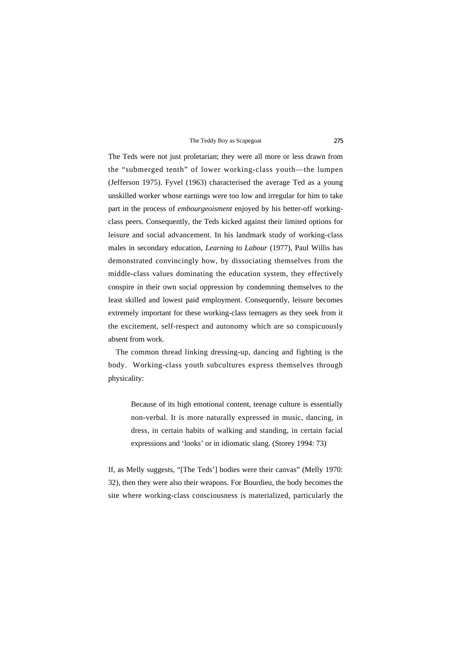The Teds were not just proletarian; they were all more or less drawn from the "submerged tenth" of lower working-class youth—the lumpen (Jefferson 1975). Fyvel (1963) characterised the average Ted as a young unskilled worker whose earnings were too low and irregular for him to take part in the process of *embourgeoisment* enjoyed by his better-off workingclass peers. Consequently, the Teds kicked against their limited options for leisure and social advancement. In his landmark study of working-class males in secondary education, *Learning to Labour* (1977), Paul Willis has demonstrated convincingly how, by dissociating themselves from the middle-class values dominating the education system, they effectively conspire in their own social oppression by condemning themselves to the least skilled and lowest paid employment. Consequently, leisure becomes extremely important for these working-class teenagers as they seek from it the excitement, self-respect and autonomy which are so conspicuously absent from work.

The common thread linking dressing-up, dancing and fighting is the body. Working-class youth subcultures express themselves through physicality:

Because of its high emotional content, teenage culture is essentially non-verbal. It is more naturally expressed in music, dancing, in dress, in certain habits of walking and standing, in certain facial expressions and 'looks' or in idiomatic slang. (Storey 1994: 73)

If, as Melly suggests, "[The Teds'] bodies were their canvas" (Melly 1970: 32), then they were also their weapons. For Bourdieu, the body becomes the site where working-class consciousness is materialized, particularly the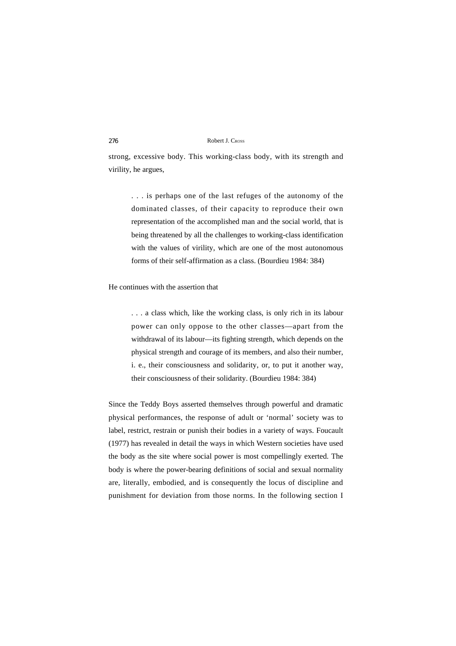strong, excessive body. This working-class body, with its strength and virility, he argues,

. . . is perhaps one of the last refuges of the autonomy of the dominated classes, of their capacity to reproduce their own representation of the accomplished man and the social world, that is being threatened by all the challenges to working-class identification with the values of virility, which are one of the most autonomous forms of their self-affirmation as a class. (Bourdieu 1984: 384)

### He continues with the assertion that

. . . a class which, like the working class, is only rich in its labour power can only oppose to the other classes—apart from the withdrawal of its labour—its fighting strength, which depends on the physical strength and courage of its members, and also their number, i. e., their consciousness and solidarity, or, to put it another way, their consciousness of their solidarity. (Bourdieu 1984: 384)

Since the Teddy Boys asserted themselves through powerful and dramatic physical performances, the response of adult or 'normal' society was to label, restrict, restrain or punish their bodies in a variety of ways. Foucault (1977) has revealed in detail the ways in which Western societies have used the body as the site where social power is most compellingly exerted. The body is where the power-bearing definitions of social and sexual normality are, literally, embodied, and is consequently the locus of discipline and punishment for deviation from those norms. In the following section I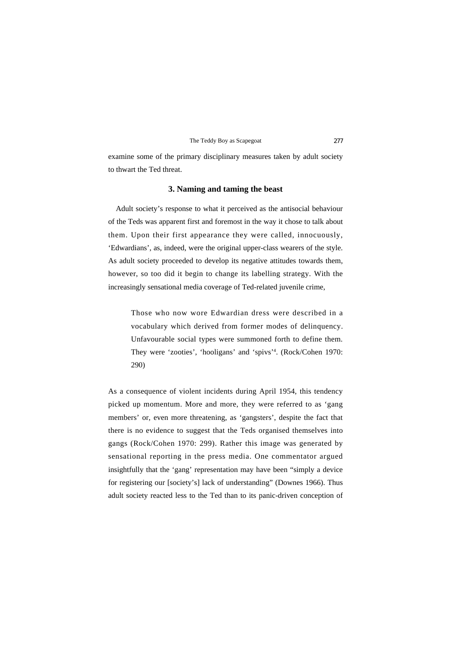examine some of the primary disciplinary measures taken by adult society to thwart the Ted threat.

### **3. Naming and taming the beast**

Adult society's response to what it perceived as the antisocial behaviour of the Teds was apparent first and foremost in the way it chose to talk about them. Upon their first appearance they were called, innocuously, 'Edwardians', as, indeed, were the original upper-class wearers of the style. As adult society proceeded to develop its negative attitudes towards them, however, so too did it begin to change its labelling strategy. With the increasingly sensational media coverage of Ted-related juvenile crime,

Those who now wore Edwardian dress were described in a vocabulary which derived from former modes of delinquency. Unfavourable social types were summoned forth to define them. They were 'zooties', 'hooligans' and 'spivs'4 . (Rock/Cohen 1970: 290)

As a consequence of violent incidents during April 1954, this tendency picked up momentum. More and more, they were referred to as 'gang members' or, even more threatening, as 'gangsters', despite the fact that there is no evidence to suggest that the Teds organised themselves into gangs (Rock/Cohen 1970: 299). Rather this image was generated by sensational reporting in the press media. One commentator argued insightfully that the 'gang' representation may have been "simply a device for registering our [society's] lack of understanding" (Downes 1966). Thus adult society reacted less to the Ted than to its panic-driven conception of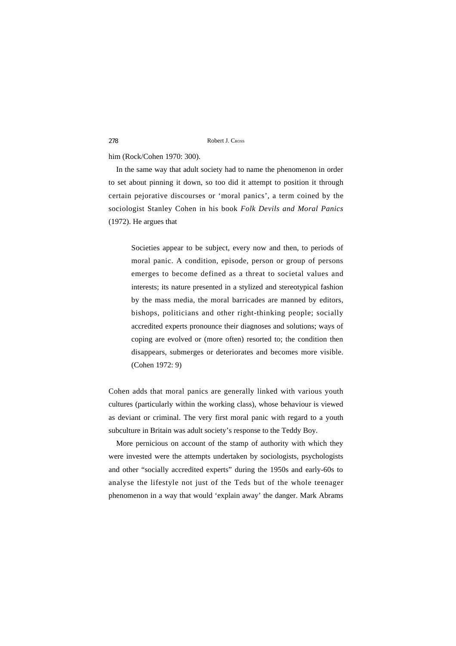### him (Rock/Cohen 1970: 300).

In the same way that adult society had to name the phenomenon in order to set about pinning it down, so too did it attempt to position it through certain pejorative discourses or 'moral panics', a term coined by the sociologist Stanley Cohen in his book *Folk Devils and Moral Panics* (1972). He argues that

Societies appear to be subject, every now and then, to periods of moral panic. A condition, episode, person or group of persons emerges to become defined as a threat to societal values and interests; its nature presented in a stylized and stereotypical fashion by the mass media, the moral barricades are manned by editors, bishops, politicians and other right-thinking people; socially accredited experts pronounce their diagnoses and solutions; ways of coping are evolved or (more often) resorted to; the condition then disappears, submerges or deteriorates and becomes more visible. (Cohen 1972: 9)

Cohen adds that moral panics are generally linked with various youth cultures (particularly within the working class), whose behaviour is viewed as deviant or criminal. The very first moral panic with regard to a youth subculture in Britain was adult society's response to the Teddy Boy.

More pernicious on account of the stamp of authority with which they were invested were the attempts undertaken by sociologists, psychologists and other "socially accredited experts" during the 1950s and early-60s to analyse the lifestyle not just of the Teds but of the whole teenager phenomenon in a way that would 'explain away' the danger. Mark Abrams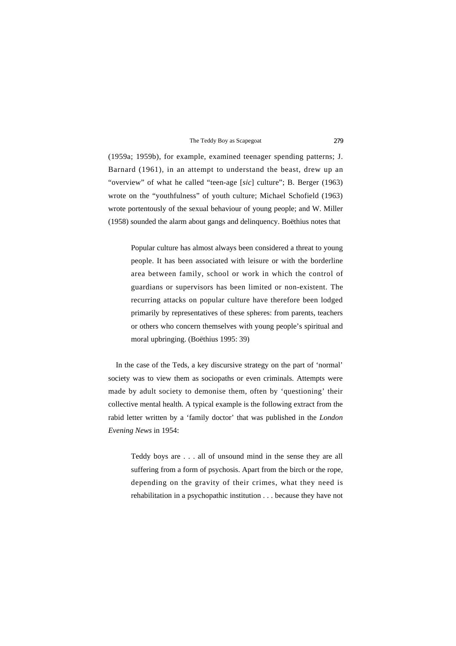(1959a; 1959b), for example, examined teenager spending patterns; J. Barnard (1961), in an attempt to understand the beast, drew up an "overview" of what he called "teen-age [*sic*] culture"; B. Berger (1963) wrote on the "youthfulness" of youth culture; Michael Schofield (1963) wrote portentously of the sexual behaviour of young people; and W. Miller (1958) sounded the alarm about gangs and delinquency. Boëthius notes that

Popular culture has almost always been considered a threat to young people. It has been associated with leisure or with the borderline area between family, school or work in which the control of guardians or supervisors has been limited or non-existent. The recurring attacks on popular culture have therefore been lodged primarily by representatives of these spheres: from parents, teachers or others who concern themselves with young people's spiritual and moral upbringing. (Boëthius 1995: 39)

In the case of the Teds, a key discursive strategy on the part of 'normal' society was to view them as sociopaths or even criminals. Attempts were made by adult society to demonise them, often by 'questioning' their collective mental health. A typical example is the following extract from the rabid letter written by a 'family doctor' that was published in the *London Evening News* in 1954:

Teddy boys are . . . all of unsound mind in the sense they are all suffering from a form of psychosis. Apart from the birch or the rope, depending on the gravity of their crimes, what they need is rehabilitation in a psychopathic institution . . . because they have not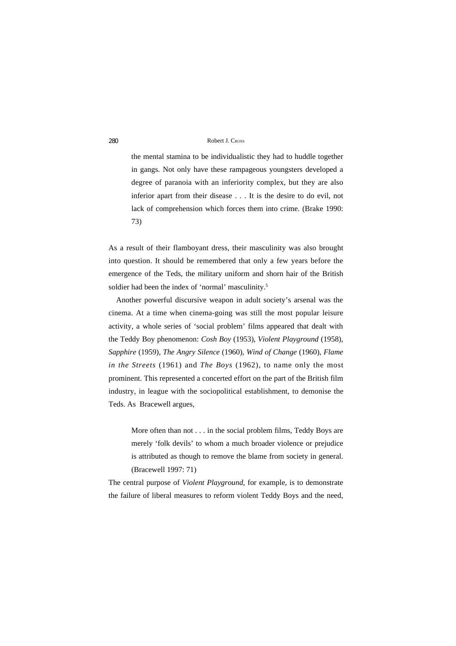the mental stamina to be individualistic they had to huddle together in gangs. Not only have these rampageous youngsters developed a degree of paranoia with an inferiority complex, but they are also inferior apart from their disease . . . It is the desire to do evil, not lack of comprehension which forces them into crime. (Brake 1990: 73)

As a result of their flamboyant dress, their masculinity was also brought into question. It should be remembered that only a few years before the emergence of the Teds, the military uniform and shorn hair of the British soldier had been the index of 'normal' masculinity.<sup>5</sup>

Another powerful discursive weapon in adult society's arsenal was the cinema. At a time when cinema-going was still the most popular leisure activity, a whole series of 'social problem' films appeared that dealt with the Teddy Boy phenomenon: *Cosh Boy* (1953), *Violent Playground* (1958), *Sapphire* (1959), *The Angry Silence* (1960), *Wind of Change* (1960), *Flame in the Streets* (1961) and *The Boys* (1962), to name only the most prominent. This represented a concerted effort on the part of the British film industry, in league with the sociopolitical establishment, to demonise the Teds. As Bracewell argues,

More often than not . . . in the social problem films, Teddy Boys are merely 'folk devils' to whom a much broader violence or prejudice is attributed as though to remove the blame from society in general. (Bracewell 1997: 71)

The central purpose of *Violent Playground*, for example, is to demonstrate the failure of liberal measures to reform violent Teddy Boys and the need,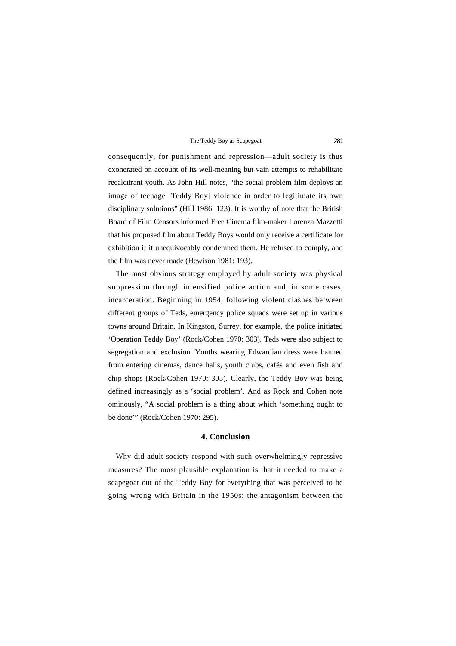consequently, for punishment and repression—adult society is thus exonerated on account of its well-meaning but vain attempts to rehabilitate recalcitrant youth. As John Hill notes, "the social problem film deploys an image of teenage [Teddy Boy] violence in order to legitimate its own disciplinary solutions" (Hill 1986: 123). It is worthy of note that the British Board of Film Censors informed Free Cinema film-maker Lorenza Mazzetti that his proposed film about Teddy Boys would only receive a certificate for exhibition if it unequivocably condemned them. He refused to comply, and the film was never made (Hewison 1981: 193).

The most obvious strategy employed by adult society was physical suppression through intensified police action and, in some cases, incarceration. Beginning in 1954, following violent clashes between different groups of Teds, emergency police squads were set up in various towns around Britain. In Kingston, Surrey, for example, the police initiated 'Operation Teddy Boy' (Rock/Cohen 1970: 303). Teds were also subject to segregation and exclusion. Youths wearing Edwardian dress were banned from entering cinemas, dance halls, youth clubs, cafés and even fish and chip shops (Rock/Cohen 1970: 305). Clearly, the Teddy Boy was being defined increasingly as a 'social problem'. And as Rock and Cohen note ominously, "A social problem is a thing about which 'something ought to be done'" (Rock/Cohen 1970: 295).

# **4. Conclusion**

Why did adult society respond with such overwhelmingly repressive measures? The most plausible explanation is that it needed to make a scapegoat out of the Teddy Boy for everything that was perceived to be going wrong with Britain in the 1950s: the antagonism between the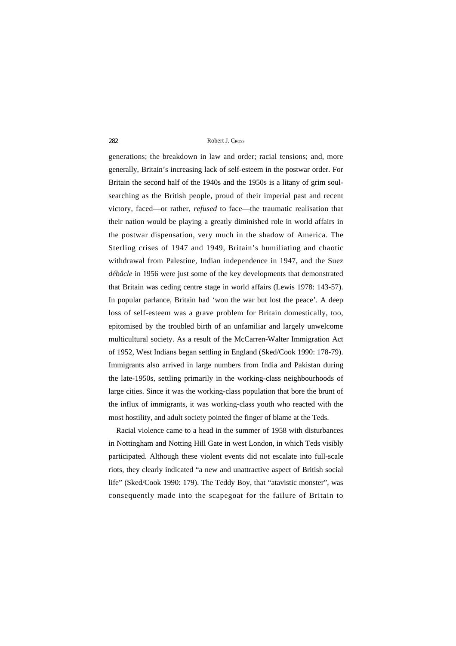generations; the breakdown in law and order; racial tensions; and, more generally, Britain's increasing lack of self-esteem in the postwar order. For Britain the second half of the 1940s and the 1950s is a litany of grim soulsearching as the British people, proud of their imperial past and recent victory, faced—or rather, *refused* to face—the traumatic realisation that their nation would be playing a greatly diminished role in world affairs in the postwar dispensation, very much in the shadow of America. The Sterling crises of 1947 and 1949, Britain's humiliating and chaotic withdrawal from Palestine, Indian independence in 1947, and the Suez *débâcle* in 1956 were just some of the key developments that demonstrated that Britain was ceding centre stage in world affairs (Lewis 1978: 143-57). In popular parlance, Britain had 'won the war but lost the peace'. A deep loss of self-esteem was a grave problem for Britain domestically, too, epitomised by the troubled birth of an unfamiliar and largely unwelcome multicultural society. As a result of the McCarren-Walter Immigration Act of 1952, West Indians began settling in England (Sked/Cook 1990: 178-79). Immigrants also arrived in large numbers from India and Pakistan during the late-1950s, settling primarily in the working-class neighbourhoods of large cities. Since it was the working-class population that bore the brunt of the influx of immigrants, it was working-class youth who reacted with the most hostility, and adult society pointed the finger of blame at the Teds.

Racial violence came to a head in the summer of 1958 with disturbances in Nottingham and Notting Hill Gate in west London, in which Teds visibly participated. Although these violent events did not escalate into full-scale riots, they clearly indicated "a new and unattractive aspect of British social life" (Sked/Cook 1990: 179). The Teddy Boy, that "atavistic monster", was consequently made into the scapegoat for the failure of Britain to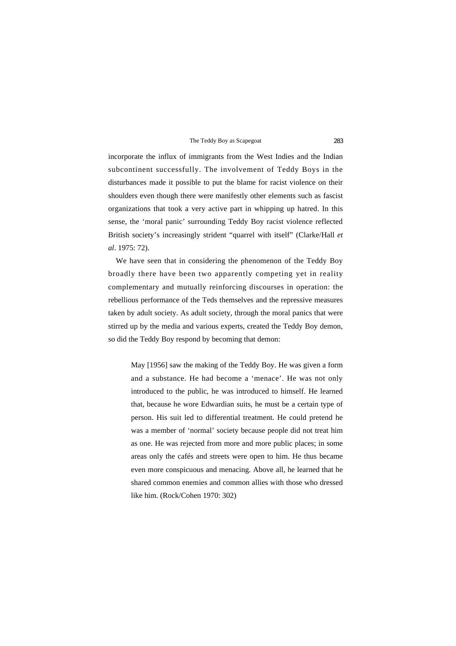incorporate the influx of immigrants from the West Indies and the Indian subcontinent successfully. The involvement of Teddy Boys in the disturbances made it possible to put the blame for racist violence on their shoulders even though there were manifestly other elements such as fascist organizations that took a very active part in whipping up hatred. In this sense, the 'moral panic' surrounding Teddy Boy racist violence reflected British society's increasingly strident "quarrel with itself" (Clarke/Hall *et al*. 1975: 72).

We have seen that in considering the phenomenon of the Teddy Boy broadly there have been two apparently competing yet in reality complementary and mutually reinforcing discourses in operation: the rebellious performance of the Teds themselves and the repressive measures taken by adult society. As adult society, through the moral panics that were stirred up by the media and various experts, created the Teddy Boy demon, so did the Teddy Boy respond by becoming that demon:

May [1956] saw the making of the Teddy Boy. He was given a form and a substance. He had become a 'menace'. He was not only introduced to the public, he was introduced to himself. He learned that, because he wore Edwardian suits, he must be a certain type of person. His suit led to differential treatment. He could pretend he was a member of 'normal' society because people did not treat him as one. He was rejected from more and more public places; in some areas only the cafés and streets were open to him. He thus became even more conspicuous and menacing. Above all, he learned that he shared common enemies and common allies with those who dressed like him. (Rock/Cohen 1970: 302)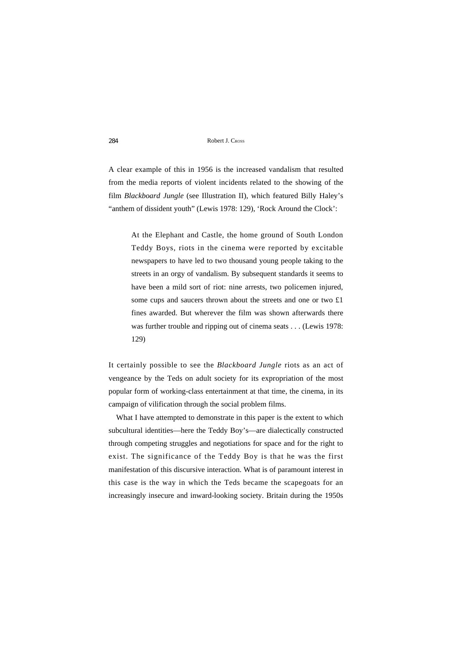A clear example of this in 1956 is the increased vandalism that resulted from the media reports of violent incidents related to the showing of the film *Blackboard Jungle* (see Illustration II), which featured Billy Haley's "anthem of dissident youth" (Lewis 1978: 129), 'Rock Around the Clock':

At the Elephant and Castle, the home ground of South London Teddy Boys, riots in the cinema were reported by excitable newspapers to have led to two thousand young people taking to the streets in an orgy of vandalism. By subsequent standards it seems to have been a mild sort of riot: nine arrests, two policemen injured, some cups and saucers thrown about the streets and one or two £1 fines awarded. But wherever the film was shown afterwards there was further trouble and ripping out of cinema seats . . . (Lewis 1978: 129)

It certainly possible to see the *Blackboard Jungle* riots as an act of vengeance by the Teds on adult society for its expropriation of the most popular form of working-class entertainment at that time, the cinema, in its campaign of vilification through the social problem films.

What I have attempted to demonstrate in this paper is the extent to which subcultural identities—here the Teddy Boy's—are dialectically constructed through competing struggles and negotiations for space and for the right to exist. The significance of the Teddy Boy is that he was the first manifestation of this discursive interaction. What is of paramount interest in this case is the way in which the Teds became the scapegoats for an increasingly insecure and inward-looking society. Britain during the 1950s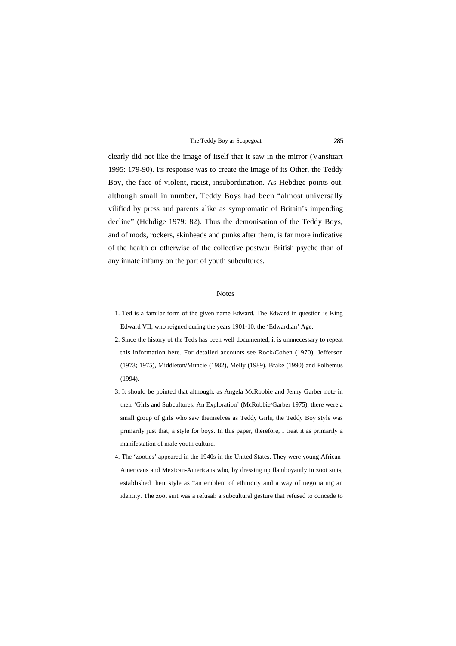clearly did not like the image of itself that it saw in the mirror (Vansittart 1995: 179-90). Its response was to create the image of its Other, the Teddy Boy, the face of violent, racist, insubordination. As Hebdige points out, although small in number, Teddy Boys had been "almost universally vilified by press and parents alike as symptomatic of Britain's impending decline" (Hebdige 1979: 82). Thus the demonisation of the Teddy Boys, and of mods, rockers, skinheads and punks after them, is far more indicative of the health or otherwise of the collective postwar British psyche than of any innate infamy on the part of youth subcultures.

#### Notes

- 1. Ted is a familar form of the given name Edward. The Edward in question is King Edward VII, who reigned during the years 1901-10, the 'Edwardian' Age.
- 2. Since the history of the Teds has been well documented, it is unnnecessary to repeat this information here. For detailed accounts see Rock/Cohen (1970), Jefferson (1973; 1975), Middleton/Muncie (1982), Melly (1989), Brake (1990) and Polhemus (1994).
- 3. It should be pointed that although, as Angela McRobbie and Jenny Garber note in their 'Girls and Subcultures: An Exploration' (McRobbie/Garber 1975), there were a small group of girls who saw themselves as Teddy Girls, the Teddy Boy style was primarily just that, a style for boys. In this paper, therefore, I treat it as primarily a manifestation of male youth culture.
- 4. The 'zooties' appeared in the 1940s in the United States. They were young African-Americans and Mexican-Americans who, by dressing up flamboyantly in zoot suits, established their style as "an emblem of ethnicity and a way of negotiating an identity. The zoot suit was a refusal: a subcultural gesture that refused to concede to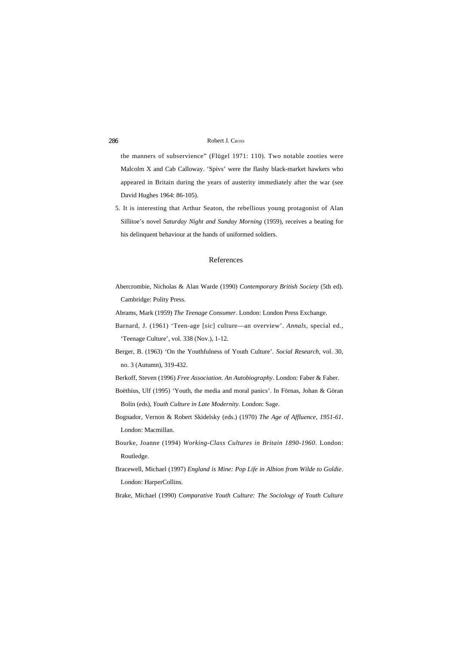the manners of subservience" (Flügel 1971: 110). Two notable zooties were Malcolm X and Cab Calloway. 'Spivs' were the flashy black-market hawkers who appeared in Britain during the years of austerity immediately after the war (see David Hughes 1964: 86-105).

5. It is interesting that Arthur Seaton, the rebellious young protagonist of Alan Sillitoe's novel *Saturday Night and Sunday Morning* (1959), receives a beating for his delinquent behaviour at the hands of uniformed soldiers.

#### References

Abercrombie, Nicholas & Alan Warde (1990) *Contemporary British Society* (5th ed). Cambridge: Polity Press.

Abrams, Mark (1959) *The Teenage Consumer*. London: London Press Exchange.

- Barnard, J. (1961) 'Teen-age [*sic*] culture—an overview'. *Annals*, special ed., 'Teenage Culture', vol. 338 (Nov.), 1-12.
- Berger, B. (1963) 'On the Youthfulness of Youth Culture'. *Social Research*, vol. 30, no. 3 (Autumn), 319-432.

Berkoff, Steven (1996) *Free Association. An Autobiography*. London: Faber & Faber.

- Boëthius, Ulf (1995) 'Youth, the media and moral panics'. In Förnas, Johan & Göran Bolin (eds), *Youth Culture in Late Modernity*. London: Sage.
- Bognador, Vernon & Robert Skidelsky (eds.) (1970) *The Age of Affluence, 1951-61*. London: Macmillan.
- Bourke, Joanne (1994) *Working-Class Cultures in Britain 1890-1960*. London: Routledge.
- Bracewell, Michael (1997) *England is Mine: Pop Life in Albion from Wilde to Goldie*. London: HarperCollins.

Brake, Michael (1990) *Comparative Youth Culture: The Sociology of Youth Culture*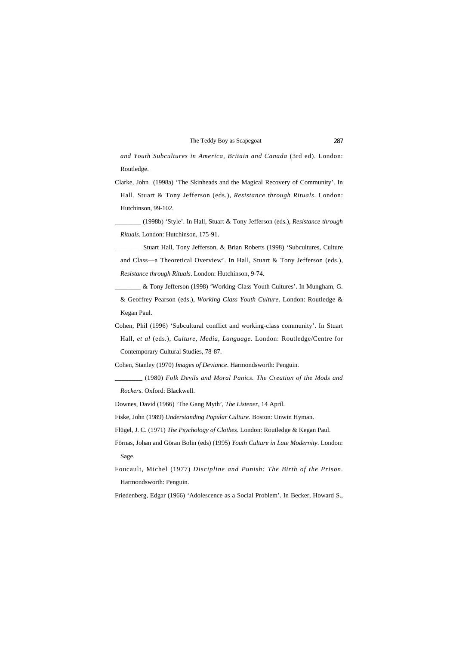*and Youth Subcultures in America, Britain and Canada* (3rd ed). London: Routledge.

Clarke, John (1998a) 'The Skinheads and the Magical Recovery of Community'. In Hall, Stuart & Tony Jefferson (eds.), *Resistance through Rituals*. London: Hutchinson, 99-102.

\_\_\_\_\_\_\_\_ (1998b) 'Style'. In Hall, Stuart & Tony Jefferson (eds.), *Resistance through Rituals*. London: Hutchinson, 175-91.

Stuart Hall, Tony Jefferson, & Brian Roberts (1998) 'Subcultures, Culture and Class—a Theoretical Overview'. In Hall, Stuart & Tony Jefferson (eds.), *Resistance through Rituals*. London: Hutchinson, 9-74.

\_\_\_\_\_\_\_\_ & Tony Jefferson (1998) 'Working-Class Youth Cultures'. In Mungham, G. & Geoffrey Pearson (eds.), *Working Class Youth Culture*. London: Routledge & Kegan Paul.

Cohen, Phil (1996) 'Subcultural conflict and working-class community'. In Stuart Hall, *et al* (eds.), *Culture, Media, Language*. London: Routledge/Centre for Contemporary Cultural Studies, 78-87.

Cohen, Stanley (1970) *Images of Deviance*. Harmondsworth: Penguin.

\_\_\_\_\_\_\_\_ (1980) *Folk Devils and Moral Panics. The Creation of the Mods and Rockers*. Oxford: Blackwell.

Downes, David (1966) 'The Gang Myth', *The Listener*, 14 April.

Fiske, John (1989) *Understanding Popular Culture*. Boston: Unwin Hyman.

Flügel, J. C. (1971) *The Psychology of Clothes*. London: Routledge & Kegan Paul.

Förnas, Johan and Göran Bolin (eds) (1995) *Youth Culture in Late Modernity*. London: Sage.

Foucault, Michel (1977) *Discipline and Punish: The Birth of the Prison*. Harmondsworth: Penguin.

Friedenberg, Edgar (1966) 'Adolescence as a Social Problem'. In Becker, Howard S.,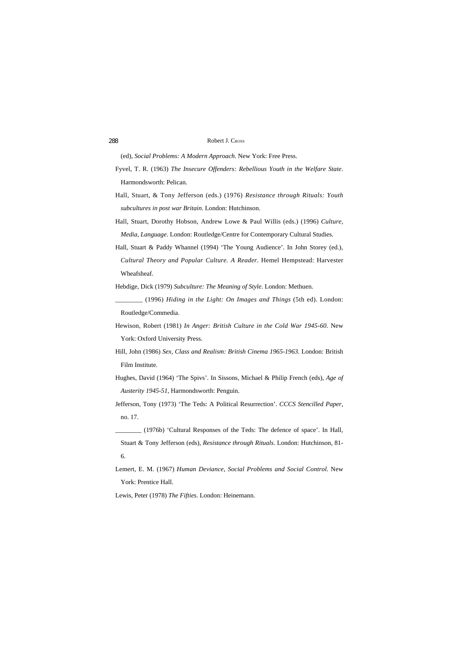(ed), *Social Problems: A Modern Approach*. New York: Free Press.

- Fyvel, T. R. (1963) *The Insecure Offenders: Rebellious Youth in the Welfare State*. Harmondsworth: Pelican.
- Hall, Stuart, & Tony Jefferson (eds.) (1976) *Resistance through Rituals: Youth subcultures in post war Britain*. London: Hutchinson.
- Hall, Stuart, Dorothy Hobson, Andrew Lowe & Paul Willis (eds.) (1996) *Culture, Media, Language*. London: Routledge/Centre for Contemporary Cultural Studies.
- Hall, Stuart & Paddy Whannel (1994) 'The Young Audience'. In John Storey (ed.), *Cultural Theory and Popular Culture. A Reader*. Hemel Hempstead: Harvester Wheafsheaf.

Hebdige, Dick (1979) *Subculture: The Meaning of Style*. London: Methuen.

\_\_\_\_\_\_\_\_ (1996) *Hiding in the Light: On Images and Things* (5th ed). London: Routledge/Commedia.

Hewison, Robert (1981) *In Anger: British Culture in the Cold War 1945-60*. New York: Oxford University Press.

Hill, John (1986) *Sex, Class and Realism: British Cinema 1965-1963*. London: British Film Institute.

Hughes, David (1964) 'The Spivs'. In Sissons, Michael & Philip French (eds), *Age of Austerity 1945-51*, Harmondsworth: Penguin.

Jefferson, Tony (1973) 'The Teds: A Political Resurrection'. *CCCS Stencilled Paper*, no. 17.

\_\_\_\_\_\_\_\_ (1976b) 'Cultural Responses of the Teds: The defence of space'. In Hall,

Stuart & Tony Jefferson (eds), *Resistance through Rituals*. London: Hutchinson, 81- 6.

Lemert, E. M. (1967) *Human Deviance, Social Problems and Social Control*. New York: Prentice Hall.

Lewis, Peter (1978) *The Fifties*. London: Heinemann.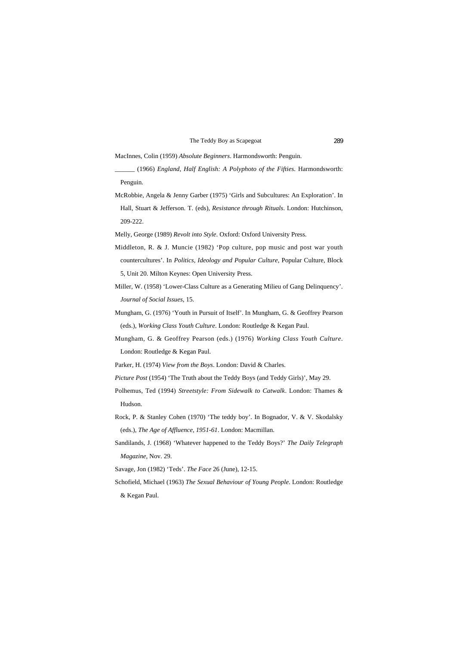MacInnes, Colin (1959) *Absolute Beginners*. Harmondsworth: Penguin.

- \_\_\_\_\_\_ (1966) *England, Half English: A Polyphoto of the Fifties*. Harmondsworth: Penguin.
- McRobbie, Angela & Jenny Garber (1975) 'Girls and Subcultures: An Exploration'. In Hall, Stuart & Jefferson. T. (eds), *Resistance through Rituals*. London: Hutchinson, 209-222.

Melly, George (1989) *Revolt into Style*. Oxford: Oxford University Press.

- Middleton, R. & J. Muncie (1982) 'Pop culture, pop music and post war youth countercultures'. In *Politics, Ideology and Popular Culture*, Popular Culture, Block 5, Unit 20. Milton Keynes: Open University Press.
- Miller, W. (1958) 'Lower-Class Culture as a Generating Milieu of Gang Delinquency'. *Journal of Social Issues*, 15.
- Mungham, G. (1976) 'Youth in Pursuit of Itself'. In Mungham, G. & Geoffrey Pearson (eds.), *Working Class Youth Culture*. London: Routledge & Kegan Paul.
- Mungham, G. & Geoffrey Pearson (eds.) (1976) *Working Class Youth Culture*. London: Routledge & Kegan Paul.
- Parker, H. (1974) *View from the Boys*. London: David & Charles.
- *Picture Post* (1954) 'The Truth about the Teddy Boys (and Teddy Girls)', May 29.
- Polhemus, Ted (1994) *Streetstyle: From Sidewalk to Catwalk*. London: Thames & Hudson.
- Rock, P. & Stanley Cohen (1970) 'The teddy boy'. In Bognador, V. & V. Skodalsky (eds.), *The Age of Affluence, 1951-61*. London: Macmillan.
- Sandilands, J. (1968) 'Whatever happened to the Teddy Boys?' *The Daily Telegraph Magazine*, Nov. 29.
- Savage, Jon (1982) 'Teds'. *The Face* 26 (June), 12-15.
- Schofield, Michael (1963) *The Sexual Behaviour of Young People*. London: Routledge & Kegan Paul.

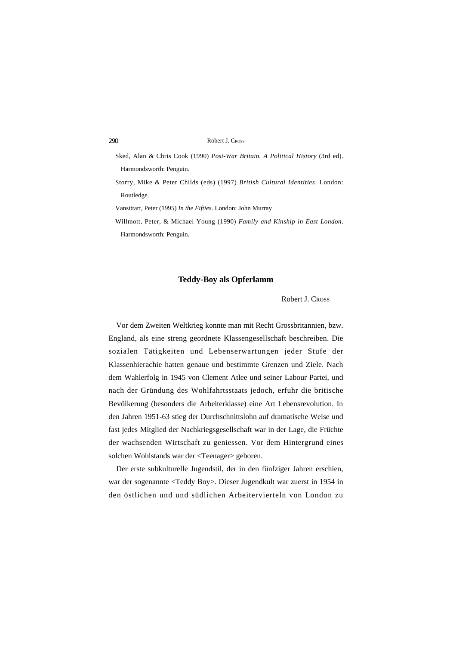Sked, Alan & Chris Cook (1990) *Post-War Britain. A Political History* (3rd ed). Harmondsworth: Penguin.

Storry, Mike & Peter Childs (eds) (1997) *British Cultural Identities*. London: Routledge.

Vansittart, Peter (1995) *In the Fifties*. London: John Murray

Willmott, Peter, & Michael Young (1990) *Family and Kinship in East London*. Harmondsworth: Penguin.

### **Teddy-Boy als Opferlamm**

Robert J. CROSS

Vor dem Zweiten Weltkrieg konnte man mit Recht Grossbritannien, bzw. England, als eine streng geordnete Klassengesellschaft beschreiben. Die sozialen Tätigkeiten und Lebenserwartungen jeder Stufe der Klassenhierachie hatten genaue und bestimmte Grenzen und Ziele. Nach dem Wahlerfolg in 1945 von Clement Atlee und seiner Labour Partei, und nach der Gründung des Wohlfahrtsstaats jedoch, erfuhr die britische Bevölkerung (besonders die Arbeiterklasse) eine Art Lebensrevolution. In den Jahren 1951-63 stieg der Durchschnittslohn auf dramatische Weise und fast jedes Mitglied der Nachkriegsgesellschaft war in der Lage, die Früchte der wachsenden Wirtschaft zu geniessen. Vor dem Hintergrund eines solchen Wohlstands war der <Teenager> geboren.

Der erste subkulturelle Jugendstil, der in den fünfziger Jahren erschien, war der sogenannte <Teddy Boy>. Dieser Jugendkult war zuerst in 1954 in den östlichen und und südlichen Arbeitervierteln von London zu